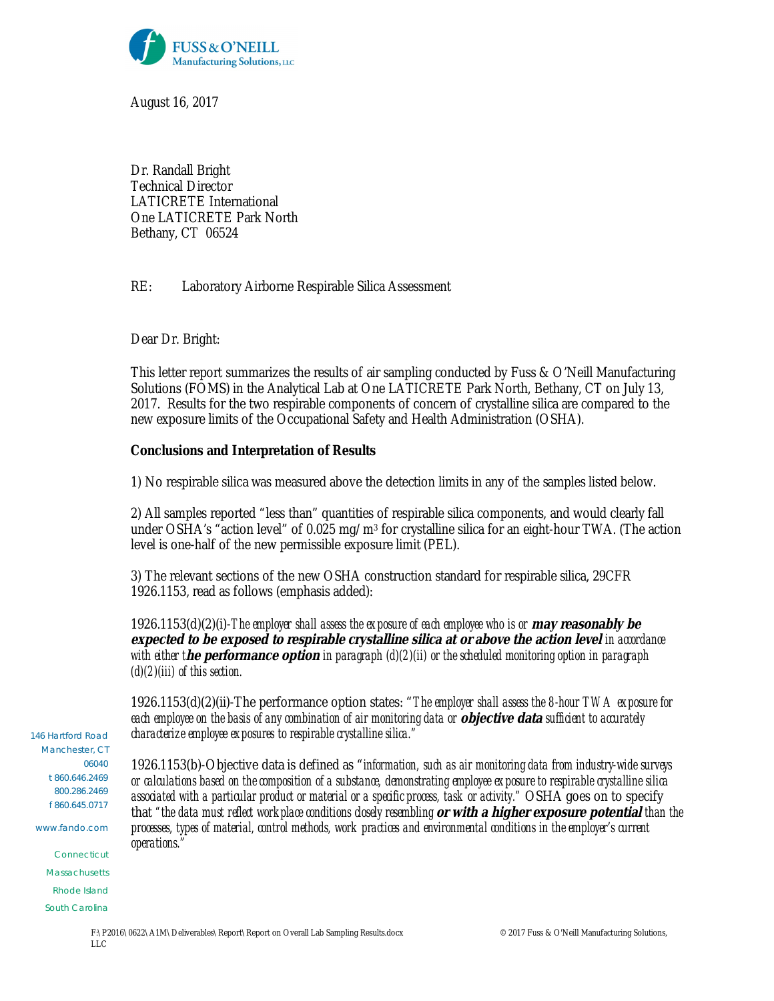

August 16, 2017

Dr. Randall Bright Technical Director LATICRETE International One LATICRETE Park North Bethany, CT 06524

## RE: Laboratory Airborne Respirable Silica Assessment

Dear Dr. Bright:

This letter report summarizes the results of air sampling conducted by Fuss & O'Neill Manufacturing Solutions (FOMS) in the Analytical Lab at One LATICRETE Park North, Bethany, CT on July 13, 2017. Results for the two respirable components of concern of crystalline silica are compared to the new exposure limits of the Occupational Safety and Health Administration (OSHA).

**Conclusions and Interpretation of Results**

1) No respirable silica was measured above the detection limits in any of the samples listed below.

2) All samples reported "less than" quantities of respirable silica components, and would clearly fall under OSHA's "action level" of 0.025 mg/m3 for crystalline silica for an eight-hour TWA. (The action level is one-half of the new permissible exposure limit (PEL).

3) The relevant sections of the new OSHA construction standard for respirable silica, 29CFR 1926.1153, read as follows (emphasis added):

1926.1153(d)(2)(i)-*The employer shall assess the exposure of each employee who is or* **may reasonably be expected to be exposed to respirable crystalline silica at or above the action level** *in accordance with either t***he performance option** *in paragraph (d)(2)(ii) or the scheduled monitoring option in paragraph (d)(2)(iii) of this section.*

1926.1153(d)(2)(ii)-The performance option states: "*The employer shall assess the 8-hour TWA exposure for each employee on the basis of any combination of air monitoring data or* **objective data** *sufficient to accurately characterize employee exposures to respirable crystalline silica."*

1926.1153(b)-Objective data is defined as "*information, such as air monitoring data from industry-wide surveys or calculations based on the composition of a substance, demonstrating employee exposure to respirable crystalline silica associated with a particular product or material or a specific process, task or activity."* OSHA goes on to specify that *"the data must reflect workplace conditions closely resembling* **or with a higher exposure potential** *than the processes, types of material, control methods, work practices and environmental conditions in the employer's current operations."*

146 Hartford Road Manchester, CT 06040 t 860.646.2469 800.286.2469 f 860.645.0717

www.fando.com

Connecticut **Massachusetts** Rhode Island South Carolina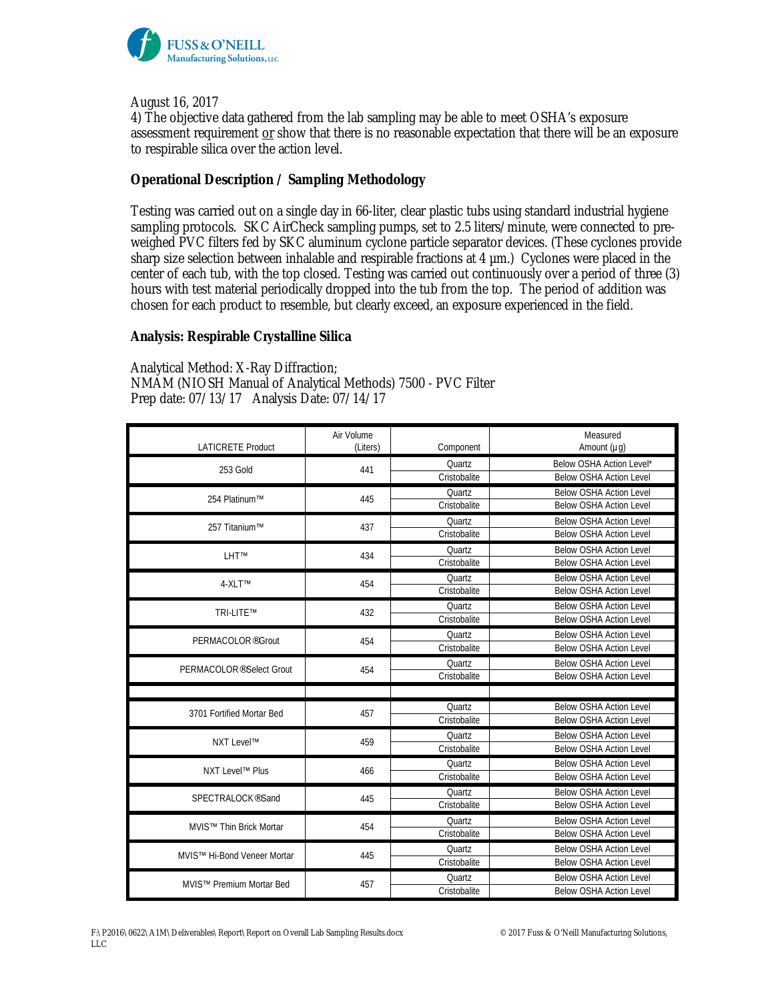

August 16, 2017

4) The objective data gathered from the lab sampling may be able to meet OSHA's exposure assessment requirement or show that there is no reasonable expectation that there will be an exposure to respirable silica over the action level.

## **Operational Description / Sampling Methodology**

Testing was carried out on a single day in 66-liter, clear plastic tubs using standard industrial hygiene sampling protocols. SKC AirCheck sampling pumps, set to 2.5 liters/minute, were connected to preweighed PVC filters fed by SKC aluminum cyclone particle separator devices. (These cyclones provide sharp size selection between inhalable and respirable fractions at 4 µm.) Cyclones were placed in the center of each tub, with the top closed. Testing was carried out continuously over a period of three (3) hours with test material periodically dropped into the tub from the top. The period of addition was chosen for each product to resemble, but clearly exceed, an exposure experienced in the field.

**Analysis: Respirable Crystalline Silica**

Analytical Method: X-Ray Diffraction; NMAM (NIOSH Manual of Analytical Methods) 7500 - PVC Filter Prep date: 07/13/17 Analysis Date: 07/14/17

| <b>LATICRETE Product</b>             | Air Volume<br>(Liters) | Component     | Measured<br>Amount $(\mu g)$   |
|--------------------------------------|------------------------|---------------|--------------------------------|
| 253 Gold                             | 441                    | <b>Ouartz</b> | Below OSHA Action Level*       |
|                                      |                        | Cristobalite  | <b>Below OSHA Action Level</b> |
| 254 Platinum™                        | 445                    | Quartz        | <b>Below OSHA Action Level</b> |
|                                      |                        | Cristobalite  | <b>Below OSHA Action Level</b> |
| 257 Titanium™                        | 437                    | Ouartz        | <b>Below OSHA Action Level</b> |
|                                      |                        | Cristobalite  | <b>Below OSHA Action Level</b> |
| LHT <sup>™</sup>                     | 434                    | Ouartz        | <b>Below OSHA Action Level</b> |
|                                      |                        | Cristobalite  | <b>Below OSHA Action Level</b> |
| 4-XLT™                               | 454                    | Quartz        | <b>Below OSHA Action Level</b> |
|                                      |                        | Cristobalite  | <b>Below OSHA Action Level</b> |
| TRI-LITE™                            | 432                    | Quartz        | <b>Below OSHA Action Level</b> |
|                                      |                        | Cristobalite  | <b>Below OSHA Action Level</b> |
| PERMACOLOR <sup>®</sup> Grout        | 454                    | Quartz        | <b>Below OSHA Action Level</b> |
|                                      |                        | Cristobalite  | <b>Below OSHA Action Level</b> |
| PERMACOLOR <sup>®</sup> Select Grout | 454                    | Quartz        | <b>Below OSHA Action Level</b> |
|                                      |                        | Cristobalite  | <b>Below OSHA Action Level</b> |
|                                      |                        |               |                                |
| 3701 Fortified Mortar Bed            | 457                    | Quartz        | <b>Below OSHA Action Level</b> |
|                                      |                        | Cristobalite  | <b>Below OSHA Action Level</b> |
| NXT Level™                           | 459                    | Quartz        | <b>Below OSHA Action Level</b> |
|                                      |                        | Cristobalite  | <b>Below OSHA Action Level</b> |
| NXT Level™ Plus                      | 466                    | Quartz        | <b>Below OSHA Action Level</b> |
|                                      |                        | Cristobalite  | <b>Below OSHA Action Level</b> |
| SPECTRALOCK <sup>®</sup> Sand        | 445                    | Quartz        | <b>Below OSHA Action Level</b> |
|                                      |                        | Cristobalite  | <b>Below OSHA Action Level</b> |
| MVIS <sup>™</sup> Thin Brick Mortar  | 454                    | Ouartz        | <b>Below OSHA Action Level</b> |
|                                      |                        | Cristobalite  | <b>Below OSHA Action Level</b> |
| MVIS™ Hi-Bond Veneer Mortar          | 445                    | Quartz        | <b>Below OSHA Action Level</b> |
|                                      |                        | Cristobalite  | <b>Below OSHA Action Level</b> |
| MVIS™ Premium Mortar Bed             | 457                    | Quartz        | <b>Below OSHA Action Level</b> |
|                                      |                        | Cristobalite  | <b>Below OSHA Action Level</b> |